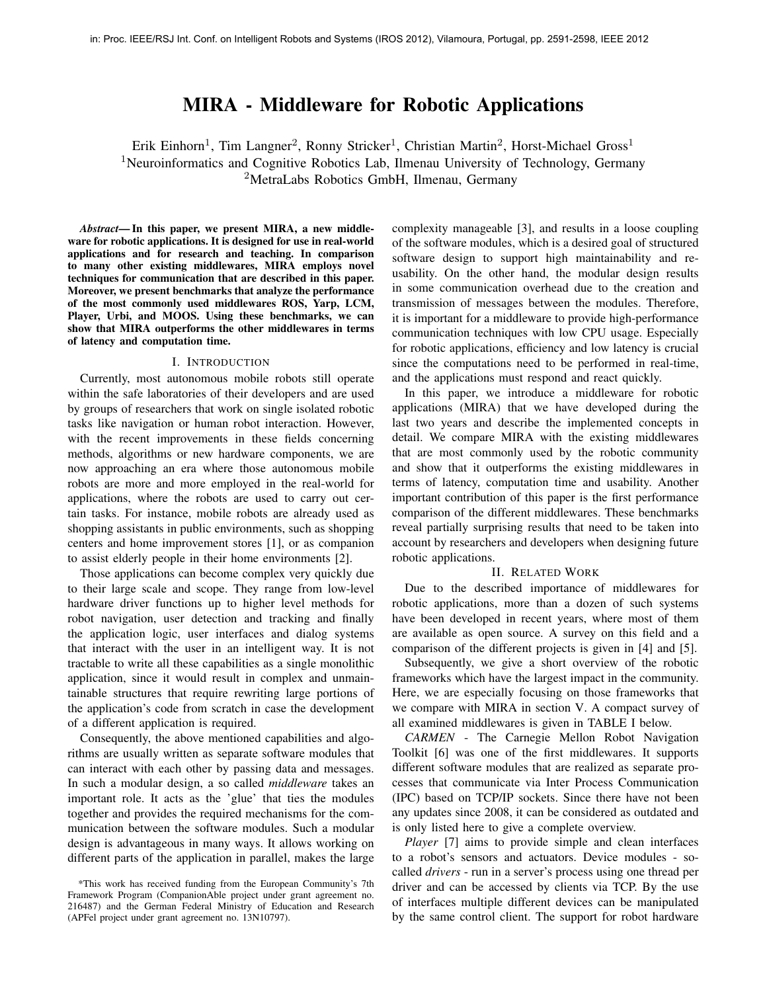# MIRA - Middleware for Robotic Applications

Erik Einhorn<sup>1</sup>, Tim Langner<sup>2</sup>, Ronny Stricker<sup>1</sup>, Christian Martin<sup>2</sup>, Horst-Michael Gross<sup>1</sup> <sup>1</sup>Neuroinformatics and Cognitive Robotics Lab, Ilmenau University of Technology, Germany <sup>2</sup>MetraLabs Robotics GmbH, Ilmenau, Germany

*Abstract*— In this paper, we present MIRA, a new middleware for robotic applications. It is designed for use in real-world applications and for research and teaching. In comparison to many other existing middlewares, MIRA employs novel techniques for communication that are described in this paper. Moreover, we present benchmarks that analyze the performance of the most commonly used middlewares ROS, Yarp, LCM, Player, Urbi, and MOOS. Using these benchmarks, we can show that MIRA outperforms the other middlewares in terms of latency and computation time.

## I. INTRODUCTION

Currently, most autonomous mobile robots still operate within the safe laboratories of their developers and are used by groups of researchers that work on single isolated robotic tasks like navigation or human robot interaction. However, with the recent improvements in these fields concerning methods, algorithms or new hardware components, we are now approaching an era where those autonomous mobile robots are more and more employed in the real-world for applications, where the robots are used to carry out certain tasks. For instance, mobile robots are already used as shopping assistants in public environments, such as shopping centers and home improvement stores [1], or as companion to assist elderly people in their home environments [2].

Those applications can become complex very quickly due to their large scale and scope. They range from low-level hardware driver functions up to higher level methods for robot navigation, user detection and tracking and finally the application logic, user interfaces and dialog systems that interact with the user in an intelligent way. It is not tractable to write all these capabilities as a single monolithic application, since it would result in complex and unmaintainable structures that require rewriting large portions of the application's code from scratch in case the development of a different application is required.

Consequently, the above mentioned capabilities and algorithms are usually written as separate software modules that can interact with each other by passing data and messages. In such a modular design, a so called *middleware* takes an important role. It acts as the 'glue' that ties the modules together and provides the required mechanisms for the communication between the software modules. Such a modular design is advantageous in many ways. It allows working on different parts of the application in parallel, makes the large complexity manageable [3], and results in a loose coupling of the software modules, which is a desired goal of structured software design to support high maintainability and reusability. On the other hand, the modular design results in some communication overhead due to the creation and transmission of messages between the modules. Therefore, it is important for a middleware to provide high-performance communication techniques with low CPU usage. Especially for robotic applications, efficiency and low latency is crucial since the computations need to be performed in real-time, and the applications must respond and react quickly.

In this paper, we introduce a middleware for robotic applications (MIRA) that we have developed during the last two years and describe the implemented concepts in detail. We compare MIRA with the existing middlewares that are most commonly used by the robotic community and show that it outperforms the existing middlewares in terms of latency, computation time and usability. Another important contribution of this paper is the first performance comparison of the different middlewares. These benchmarks reveal partially surprising results that need to be taken into account by researchers and developers when designing future robotic applications.

# II. RELATED WORK

Due to the described importance of middlewares for robotic applications, more than a dozen of such systems have been developed in recent years, where most of them are available as open source. A survey on this field and a comparison of the different projects is given in [4] and [5].

Subsequently, we give a short overview of the robotic frameworks which have the largest impact in the community. Here, we are especially focusing on those frameworks that we compare with MIRA in section V. A compact survey of all examined middlewares is given in TABLE I below.

*CARMEN* - The Carnegie Mellon Robot Navigation Toolkit [6] was one of the first middlewares. It supports different software modules that are realized as separate processes that communicate via Inter Process Communication (IPC) based on TCP/IP sockets. Since there have not been any updates since 2008, it can be considered as outdated and is only listed here to give a complete overview.

*Player* [7] aims to provide simple and clean interfaces to a robot's sensors and actuators. Device modules - socalled *drivers* - run in a server's process using one thread per driver and can be accessed by clients via TCP. By the use of interfaces multiple different devices can be manipulated by the same control client. The support for robot hardware

<sup>\*</sup>This work has received funding from the European Community's 7th Framework Program (CompanionAble project under grant agreement no. 216487) and the German Federal Ministry of Education and Research (APFel project under grant agreement no. 13N10797).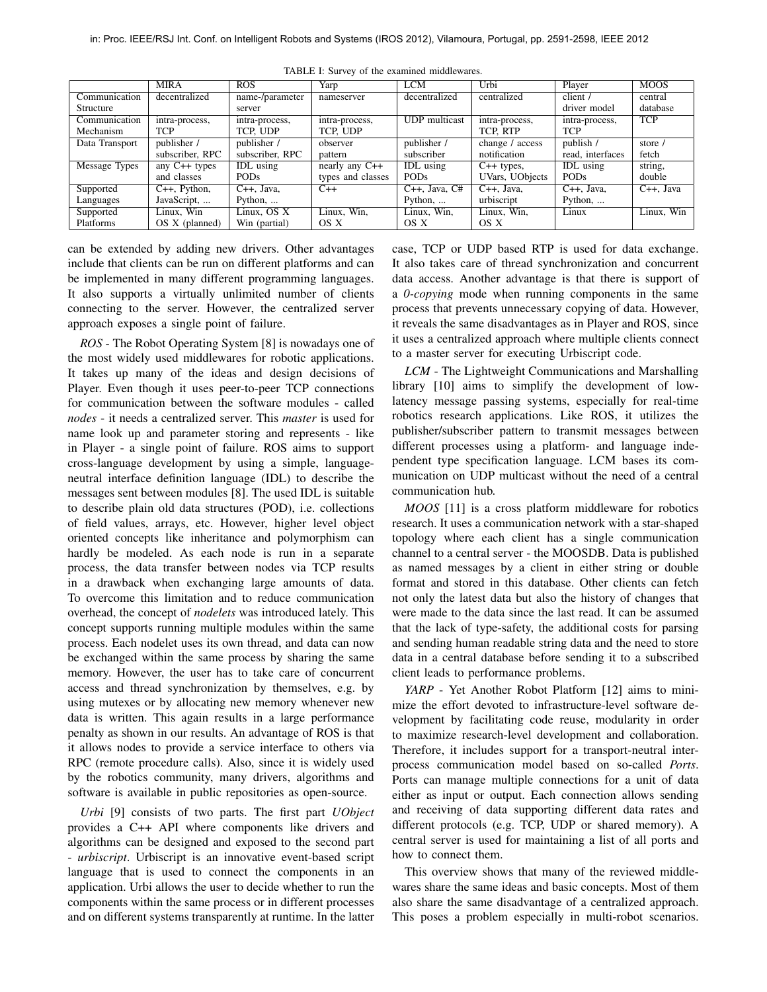|                | <b>MIRA</b>        | <b>ROS</b>       | Yarp              | <b>LCM</b>           | Urbi            | Player           | <b>MOOS</b>     |
|----------------|--------------------|------------------|-------------------|----------------------|-----------------|------------------|-----------------|
| Communication  | decentralized      | name-/parameter  | nameserver        | decentralized        | centralized     | client /         | central         |
| Structure      |                    | server           |                   |                      |                 | driver model     | database        |
| Communication  | intra-process,     | intra-process,   | intra-process,    | <b>UDP</b> multicast | intra-process,  | intra-process,   | <b>TCP</b>      |
| Mechanism      | TCP                | TCP. UDP         | TCP, UDP          |                      | TCP, RTP        | <b>TCP</b>       |                 |
| Data Transport | publisher /        | publisher /      | observer          | publisher /          | change / access | publish /        | store /         |
|                | subscriber, RPC    | subscriber, RPC  | pattern           | subscriber           | notification    | read, interfaces | fetch           |
| Message Types  | any $C++$ types    | IDL using        | nearly any $C++$  | IDL using            | $C++$ types,    | <b>IDL</b> using | string.         |
|                | and classes        | <b>PODs</b>      | types and classes | <b>PODs</b>          | UVars, UObjects | <b>PODs</b>      | double          |
| Supported      | $C_{++}$ , Python, | $C_{++}$ , Java, | $C++$             | $C++$ , Java, $C#$   | $C++$ , Java,   | $C++$ , Java,    | $C_{++}$ . Java |
| Languages      | JavaScript,        | Python,          |                   | Python,              | urbiscript      | Python,          |                 |
| Supported      | Linux, Win         | Linux, OS X      | Linux, Win,       | Linux, Win,          | Linux, Win,     | Linux            | Linux, Win      |
| Platforms      | OS X (planned)     | Win (partial)    | OS X              | OS X                 | OS X            |                  |                 |
|                |                    |                  |                   |                      |                 |                  |                 |

TABLE I: Survey of the examined middlewares.

can be extended by adding new drivers. Other advantages include that clients can be run on different platforms and can be implemented in many different programming languages. It also supports a virtually unlimited number of clients connecting to the server. However, the centralized server approach exposes a single point of failure.

*ROS* - The Robot Operating System [8] is nowadays one of the most widely used middlewares for robotic applications. It takes up many of the ideas and design decisions of Player. Even though it uses peer-to-peer TCP connections for communication between the software modules - called *nodes* - it needs a centralized server. This *master* is used for name look up and parameter storing and represents - like in Player - a single point of failure. ROS aims to support cross-language development by using a simple, languageneutral interface definition language (IDL) to describe the messages sent between modules [8]. The used IDL is suitable to describe plain old data structures (POD), i.e. collections of field values, arrays, etc. However, higher level object oriented concepts like inheritance and polymorphism can hardly be modeled. As each node is run in a separate process, the data transfer between nodes via TCP results in a drawback when exchanging large amounts of data. To overcome this limitation and to reduce communication overhead, the concept of *nodelets* was introduced lately. This concept supports running multiple modules within the same process. Each nodelet uses its own thread, and data can now be exchanged within the same process by sharing the same memory. However, the user has to take care of concurrent access and thread synchronization by themselves, e.g. by using mutexes or by allocating new memory whenever new data is written. This again results in a large performance penalty as shown in our results. An advantage of ROS is that it allows nodes to provide a service interface to others via RPC (remote procedure calls). Also, since it is widely used by the robotics community, many drivers, algorithms and software is available in public repositories as open-source.

*Urbi* [9] consists of two parts. The first part *UObject* provides a C++ API where components like drivers and algorithms can be designed and exposed to the second part - *urbiscript*. Urbiscript is an innovative event-based script language that is used to connect the components in an application. Urbi allows the user to decide whether to run the components within the same process or in different processes and on different systems transparently at runtime. In the latter

case, TCP or UDP based RTP is used for data exchange. It also takes care of thread synchronization and concurrent data access. Another advantage is that there is support of a *0-copying* mode when running components in the same process that prevents unnecessary copying of data. However, it reveals the same disadvantages as in Player and ROS, since it uses a centralized approach where multiple clients connect to a master server for executing Urbiscript code.

*LCM* - The Lightweight Communications and Marshalling library [10] aims to simplify the development of lowlatency message passing systems, especially for real-time robotics research applications. Like ROS, it utilizes the publisher/subscriber pattern to transmit messages between different processes using a platform- and language independent type specification language. LCM bases its communication on UDP multicast without the need of a central communication hub.

*MOOS* [11] is a cross platform middleware for robotics research. It uses a communication network with a star-shaped topology where each client has a single communication channel to a central server - the MOOSDB. Data is published as named messages by a client in either string or double format and stored in this database. Other clients can fetch not only the latest data but also the history of changes that were made to the data since the last read. It can be assumed that the lack of type-safety, the additional costs for parsing and sending human readable string data and the need to store data in a central database before sending it to a subscribed client leads to performance problems.

*YARP* - Yet Another Robot Platform [12] aims to minimize the effort devoted to infrastructure-level software development by facilitating code reuse, modularity in order to maximize research-level development and collaboration. Therefore, it includes support for a transport-neutral interprocess communication model based on so-called *Ports*. Ports can manage multiple connections for a unit of data either as input or output. Each connection allows sending and receiving of data supporting different data rates and different protocols (e.g. TCP, UDP or shared memory). A central server is used for maintaining a list of all ports and how to connect them.

This overview shows that many of the reviewed middlewares share the same ideas and basic concepts. Most of them also share the same disadvantage of a centralized approach. This poses a problem especially in multi-robot scenarios.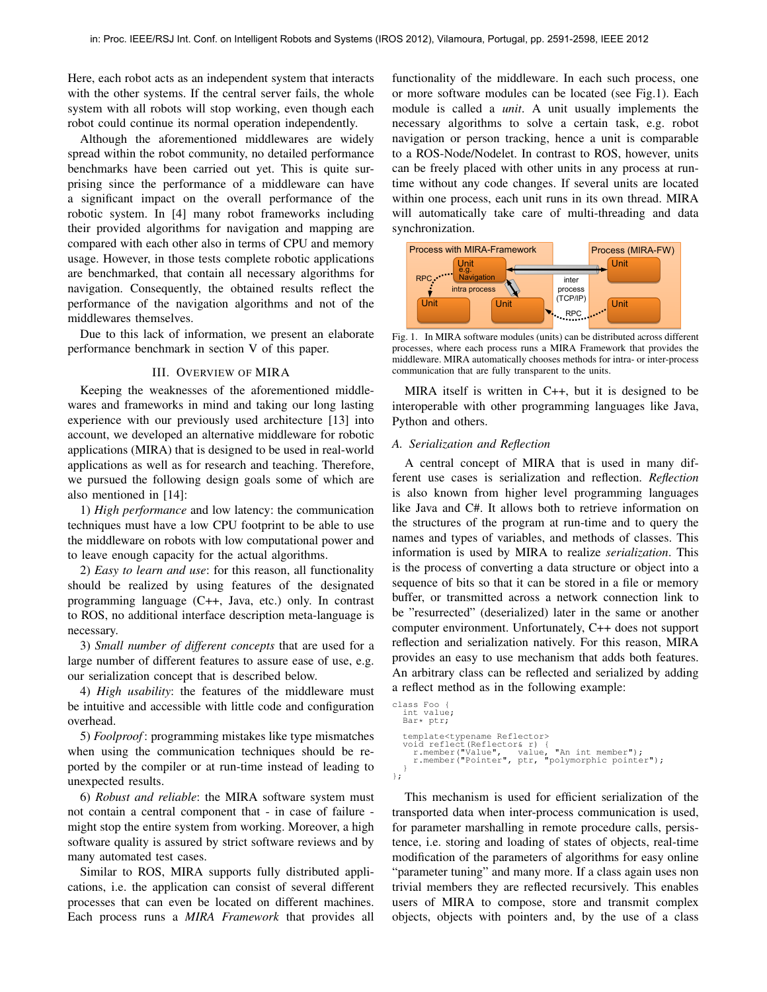Here, each robot acts as an independent system that interacts with the other systems. If the central server fails, the whole system with all robots will stop working, even though each robot could continue its normal operation independently.

Although the aforementioned middlewares are widely spread within the robot community, no detailed performance benchmarks have been carried out yet. This is quite surprising since the performance of a middleware can have a significant impact on the overall performance of the robotic system. In [4] many robot frameworks including their provided algorithms for navigation and mapping are compared with each other also in terms of CPU and memory usage. However, in those tests complete robotic applications are benchmarked, that contain all necessary algorithms for navigation. Consequently, the obtained results reflect the performance of the navigation algorithms and not of the middlewares themselves.

Due to this lack of information, we present an elaborate performance benchmark in section V of this paper.

## III. OVERVIEW OF MIRA

Keeping the weaknesses of the aforementioned middlewares and frameworks in mind and taking our long lasting experience with our previously used architecture [13] into account, we developed an alternative middleware for robotic applications (MIRA) that is designed to be used in real-world applications as well as for research and teaching. Therefore, we pursued the following design goals some of which are also mentioned in [14]:

1) *High performance* and low latency: the communication techniques must have a low CPU footprint to be able to use the middleware on robots with low computational power and to leave enough capacity for the actual algorithms.

2) *Easy to learn and use*: for this reason, all functionality should be realized by using features of the designated programming language (C++, Java, etc.) only. In contrast to ROS, no additional interface description meta-language is necessary.

3) *Small number of different concepts* that are used for a large number of different features to assure ease of use, e.g. our serialization concept that is described below.

4) *High usability*: the features of the middleware must be intuitive and accessible with little code and configuration overhead.

5) *Foolproof* : programming mistakes like type mismatches when using the communication techniques should be reported by the compiler or at run-time instead of leading to unexpected results.

6) *Robust and reliable*: the MIRA software system must not contain a central component that - in case of failure might stop the entire system from working. Moreover, a high software quality is assured by strict software reviews and by many automated test cases.

Similar to ROS, MIRA supports fully distributed applications, i.e. the application can consist of several different processes that can even be located on different machines. Each process runs a *MIRA Framework* that provides all

functionality of the middleware. In each such process, one or more software modules can be located (see Fig.1). Each module is called a *unit*. A unit usually implements the necessary algorithms to solve a certain task, e.g. robot navigation or person tracking, hence a unit is comparable to a ROS-Node/Nodelet. In contrast to ROS, however, units can be freely placed with other units in any process at runtime without any code changes. If several units are located within one process, each unit runs in its own thread. MIRA will automatically take care of multi-threading and data synchronization.



Fig. 1. In MIRA software modules (units) can be distributed across different processes, where each process runs a MIRA Framework that provides the middleware. MIRA automatically chooses methods for intra- or inter-process communication that are fully transparent to the units.

MIRA itself is written in C++, but it is designed to be interoperable with other programming languages like Java, Python and others.

## *A. Serialization and Reflection*

A central concept of MIRA that is used in many different use cases is serialization and reflection. *Reflection* is also known from higher level programming languages like Java and C#. It allows both to retrieve information on the structures of the program at run-time and to query the names and types of variables, and methods of classes. This information is used by MIRA to realize *serialization*. This is the process of converting a data structure or object into a sequence of bits so that it can be stored in a file or memory buffer, or transmitted across a network connection link to be "resurrected" (deserialized) later in the same or another computer environment. Unfortunately, C++ does not support reflection and serialization natively. For this reason, MIRA provides an easy to use mechanism that adds both features. An arbitrary class can be reflected and serialized by adding a reflect method as in the following example:

```
class Foo {
int value;
    Bar* ptr;
    template<typename Reflector><br>void reflect(Reflector& r) {<br>r.member("Value", value, "An int member");
                                                 rail, value, "An int member");<br>ptr, "polymorphic pointer");
    }
};
```
This mechanism is used for efficient serialization of the transported data when inter-process communication is used, for parameter marshalling in remote procedure calls, persistence, i.e. storing and loading of states of objects, real-time modification of the parameters of algorithms for easy online "parameter tuning" and many more. If a class again uses non trivial members they are reflected recursively. This enables users of MIRA to compose, store and transmit complex objects, objects with pointers and, by the use of a class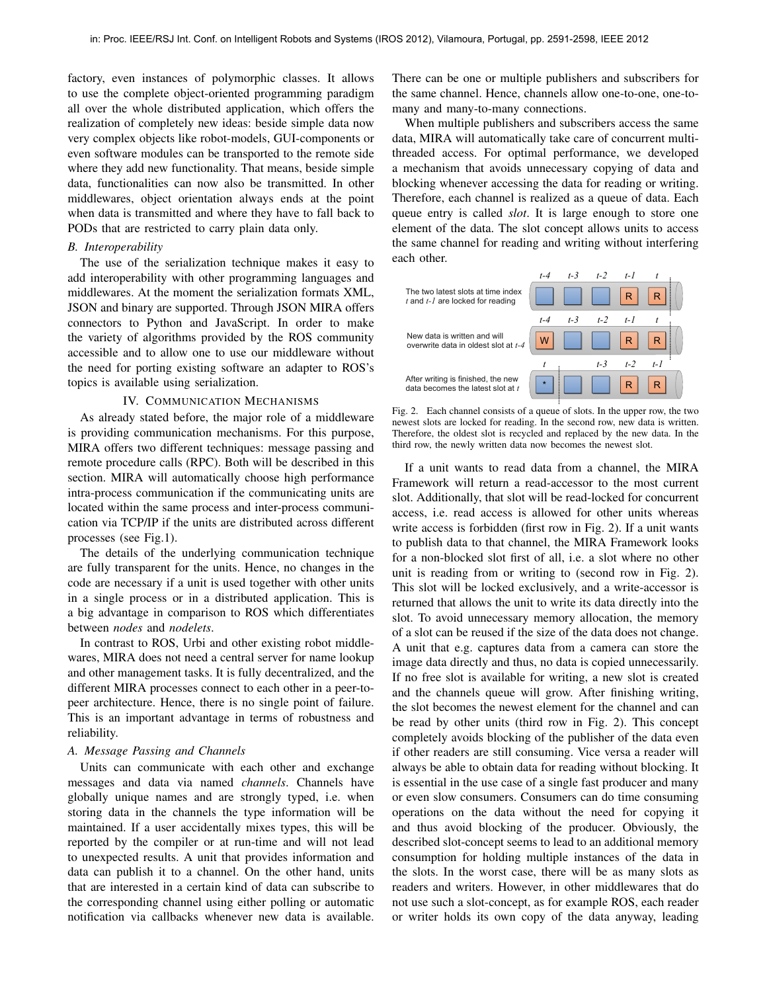factory, even instances of polymorphic classes. It allows to use the complete object-oriented programming paradigm all over the whole distributed application, which offers the realization of completely new ideas: beside simple data now very complex objects like robot-models, GUI-components or even software modules can be transported to the remote side where they add new functionality. That means, beside simple data, functionalities can now also be transmitted. In other middlewares, object orientation always ends at the point when data is transmitted and where they have to fall back to PODs that are restricted to carry plain data only.

## *B. Interoperability*

The use of the serialization technique makes it easy to add interoperability with other programming languages and middlewares. At the moment the serialization formats XML, JSON and binary are supported. Through JSON MIRA offers connectors to Python and JavaScript. In order to make the variety of algorithms provided by the ROS community accessible and to allow one to use our middleware without the need for porting existing software an adapter to ROS's topics is available using serialization.

# IV. COMMUNICATION MECHANISMS

As already stated before, the major role of a middleware is providing communication mechanisms. For this purpose, MIRA offers two different techniques: message passing and remote procedure calls (RPC). Both will be described in this section. MIRA will automatically choose high performance intra-process communication if the communicating units are located within the same process and inter-process communication via TCP/IP if the units are distributed across different processes (see Fig.1).

The details of the underlying communication technique are fully transparent for the units. Hence, no changes in the code are necessary if a unit is used together with other units in a single process or in a distributed application. This is a big advantage in comparison to ROS which differentiates between *nodes* and *nodelets*.

In contrast to ROS, Urbi and other existing robot middlewares, MIRA does not need a central server for name lookup and other management tasks. It is fully decentralized, and the different MIRA processes connect to each other in a peer-topeer architecture. Hence, there is no single point of failure. This is an important advantage in terms of robustness and reliability.

#### *A. Message Passing and Channels*

Units can communicate with each other and exchange messages and data via named *channels*. Channels have globally unique names and are strongly typed, i.e. when storing data in the channels the type information will be maintained. If a user accidentally mixes types, this will be reported by the compiler or at run-time and will not lead to unexpected results. A unit that provides information and data can publish it to a channel. On the other hand, units that are interested in a certain kind of data can subscribe to the corresponding channel using either polling or automatic notification via callbacks whenever new data is available.

There can be one or multiple publishers and subscribers for the same channel. Hence, channels allow one-to-one, one-tomany and many-to-many connections.

When multiple publishers and subscribers access the same data, MIRA will automatically take care of concurrent multithreaded access. For optimal performance, we developed a mechanism that avoids unnecessary copying of data and blocking whenever accessing the data for reading or writing. Therefore, each channel is realized as a queue of data. Each queue entry is called *slot*. It is large enough to store one element of the data. The slot concept allows units to access the same channel for reading and writing without interfering each other.



Fig. 2. Each channel consists of a queue of slots. In the upper row, the two newest slots are locked for reading. In the second row, new data is written. Therefore, the oldest slot is recycled and replaced by the new data. In the third row, the newly written data now becomes the newest slot.

If a unit wants to read data from a channel, the MIRA Framework will return a read-accessor to the most current slot. Additionally, that slot will be read-locked for concurrent access, i.e. read access is allowed for other units whereas write access is forbidden (first row in Fig. 2). If a unit wants to publish data to that channel, the MIRA Framework looks for a non-blocked slot first of all, i.e. a slot where no other unit is reading from or writing to (second row in Fig. 2). This slot will be locked exclusively, and a write-accessor is returned that allows the unit to write its data directly into the slot. To avoid unnecessary memory allocation, the memory of a slot can be reused if the size of the data does not change. A unit that e.g. captures data from a camera can store the image data directly and thus, no data is copied unnecessarily. If no free slot is available for writing, a new slot is created and the channels queue will grow. After finishing writing, the slot becomes the newest element for the channel and can be read by other units (third row in Fig. 2). This concept completely avoids blocking of the publisher of the data even if other readers are still consuming. Vice versa a reader will always be able to obtain data for reading without blocking. It is essential in the use case of a single fast producer and many or even slow consumers. Consumers can do time consuming operations on the data without the need for copying it and thus avoid blocking of the producer. Obviously, the described slot-concept seems to lead to an additional memory consumption for holding multiple instances of the data in the slots. In the worst case, there will be as many slots as readers and writers. However, in other middlewares that do not use such a slot-concept, as for example ROS, each reader or writer holds its own copy of the data anyway, leading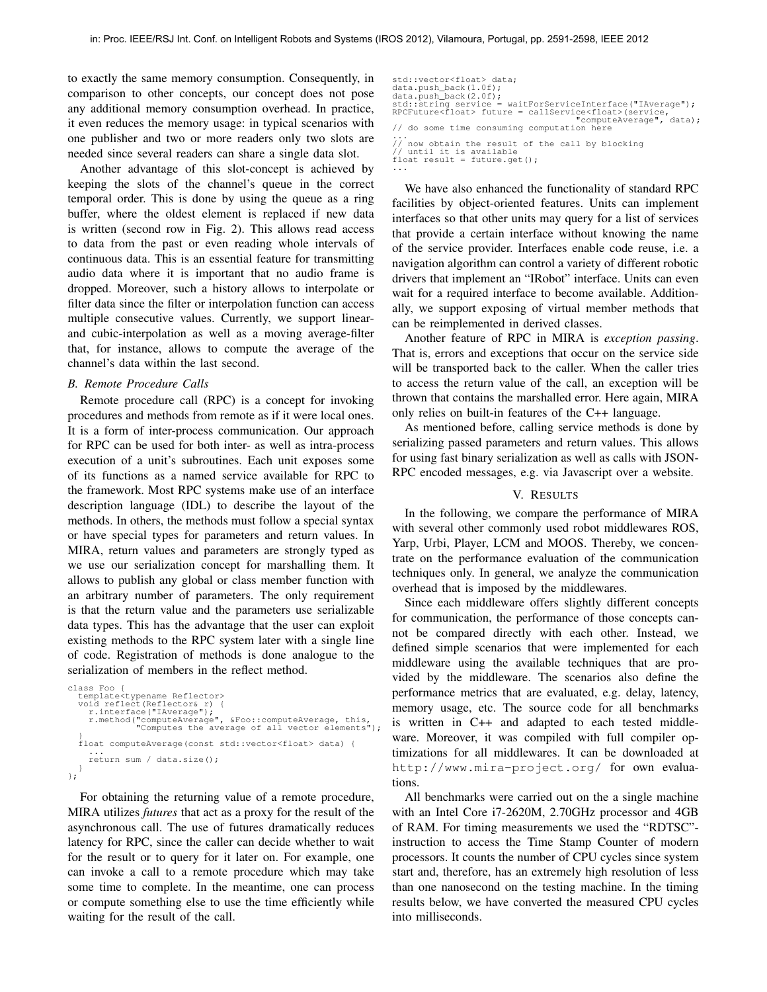to exactly the same memory consumption. Consequently, in comparison to other concepts, our concept does not pose any additional memory consumption overhead. In practice, it even reduces the memory usage: in typical scenarios with one publisher and two or more readers only two slots are needed since several readers can share a single data slot.

Another advantage of this slot-concept is achieved by keeping the slots of the channel's queue in the correct temporal order. This is done by using the queue as a ring buffer, where the oldest element is replaced if new data is written (second row in Fig. 2). This allows read access to data from the past or even reading whole intervals of continuous data. This is an essential feature for transmitting audio data where it is important that no audio frame is dropped. Moreover, such a history allows to interpolate or filter data since the filter or interpolation function can access multiple consecutive values. Currently, we support linearand cubic-interpolation as well as a moving average-filter that, for instance, allows to compute the average of the channel's data within the last second.

# *B. Remote Procedure Calls*

Remote procedure call (RPC) is a concept for invoking procedures and methods from remote as if it were local ones. It is a form of inter-process communication. Our approach for RPC can be used for both inter- as well as intra-process execution of a unit's subroutines. Each unit exposes some of its functions as a named service available for RPC to the framework. Most RPC systems make use of an interface description language (IDL) to describe the layout of the methods. In others, the methods must follow a special syntax or have special types for parameters and return values. In MIRA, return values and parameters are strongly typed as we use our serialization concept for marshalling them. It allows to publish any global or class member function with an arbitrary number of parameters. The only requirement is that the return value and the parameters use serializable data types. This has the advantage that the user can exploit existing methods to the RPC system later with a single line of code. Registration of methods is done analogue to the serialization of members in the reflect method.

```
class Foo {
    template<typename Reflector><br>
void reflect(Reflector& r) {<br>
r.interface("IAverage");<br>
r.method("computeAverage", &Foo::computeAverage, this,<br>
"Computes the average of all vector elements");<br>
}
    float computeAverage(const std::vector<float> data) {
        ...
return sum / data.size();
    }
};
```
For obtaining the returning value of a remote procedure, MIRA utilizes *futures* that act as a proxy for the result of the asynchronous call. The use of futures dramatically reduces latency for RPC, since the caller can decide whether to wait for the result or to query for it later on. For example, one can invoke a call to a remote procedure which may take some time to complete. In the meantime, one can process or compute something else to use the time efficiently while waiting for the result of the call.

std::vector<float> data; data.push\_back(1.0f);<br>data.push\_back(2.0f);<br>std::string service = waitForServiceInterface("IAverage"); RPCFuture<float> future = callService<float>(service,<br>"computeAverage", data); // do some time consuming computation here ...<br>// now obtain the result of the call by blocking<br>float result = future.get();<br>...

We have also enhanced the functionality of standard RPC facilities by object-oriented features. Units can implement interfaces so that other units may query for a list of services that provide a certain interface without knowing the name of the service provider. Interfaces enable code reuse, i.e. a navigation algorithm can control a variety of different robotic drivers that implement an "IRobot" interface. Units can even wait for a required interface to become available. Additionally, we support exposing of virtual member methods that can be reimplemented in derived classes.

Another feature of RPC in MIRA is *exception passing*. That is, errors and exceptions that occur on the service side will be transported back to the caller. When the caller tries to access the return value of the call, an exception will be thrown that contains the marshalled error. Here again, MIRA only relies on built-in features of the C++ language.

As mentioned before, calling service methods is done by serializing passed parameters and return values. This allows for using fast binary serialization as well as calls with JSON-RPC encoded messages, e.g. via Javascript over a website.

#### V. RESULTS

In the following, we compare the performance of MIRA with several other commonly used robot middlewares ROS, Yarp, Urbi, Player, LCM and MOOS. Thereby, we concentrate on the performance evaluation of the communication techniques only. In general, we analyze the communication overhead that is imposed by the middlewares.

Since each middleware offers slightly different concepts for communication, the performance of those concepts cannot be compared directly with each other. Instead, we defined simple scenarios that were implemented for each middleware using the available techniques that are provided by the middleware. The scenarios also define the performance metrics that are evaluated, e.g. delay, latency, memory usage, etc. The source code for all benchmarks is written in C++ and adapted to each tested middleware. Moreover, it was compiled with full compiler optimizations for all middlewares. It can be downloaded at http://www.mira-project.org/ for own evaluations.

All benchmarks were carried out on the a single machine with an Intel Core i7-2620M, 2.70GHz processor and 4GB of RAM. For timing measurements we used the "RDTSC" instruction to access the Time Stamp Counter of modern processors. It counts the number of CPU cycles since system start and, therefore, has an extremely high resolution of less than one nanosecond on the testing machine. In the timing results below, we have converted the measured CPU cycles into milliseconds.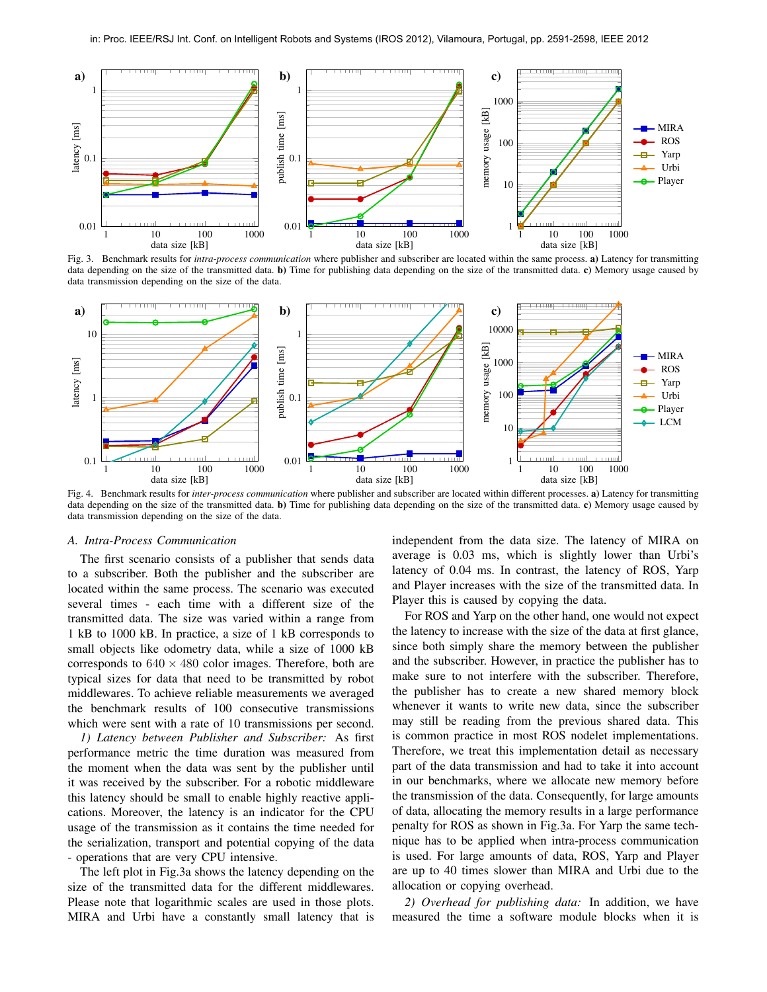

Fig. 3. Benchmark results for *intra-process communication* where publisher and subscriber are located within the same process. a) Latency for transmitting data depending on the size of the transmitted data. b) Time for publishing data depending on the size of the transmitted data. c) Memory usage caused by data transmission depending on the size of the data.



Fig. 4. Benchmark results for *inter-process communication* where publisher and subscriber are located within different processes. a) Latency for transmitting data depending on the size of the transmitted data. b) Time for publishing data depending on the size of the transmitted data. c) Memory usage caused by data transmission depending on the size of the data.

## *A. Intra-Process Communication*

The first scenario consists of a publisher that sends data to a subscriber. Both the publisher and the subscriber are located within the same process. The scenario was executed several times - each time with a different size of the transmitted data. The size was varied within a range from 1 kB to 1000 kB. In practice, a size of 1 kB corresponds to small objects like odometry data, while a size of 1000 kB corresponds to  $640 \times 480$  color images. Therefore, both are typical sizes for data that need to be transmitted by robot middlewares. To achieve reliable measurements we averaged the benchmark results of 100 consecutive transmissions which were sent with a rate of 10 transmissions per second.

*1) Latency between Publisher and Subscriber:* As first performance metric the time duration was measured from the moment when the data was sent by the publisher until it was received by the subscriber. For a robotic middleware this latency should be small to enable highly reactive applications. Moreover, the latency is an indicator for the CPU usage of the transmission as it contains the time needed for the serialization, transport and potential copying of the data - operations that are very CPU intensive.

The left plot in Fig.3a shows the latency depending on the size of the transmitted data for the different middlewares. Please note that logarithmic scales are used in those plots. MIRA and Urbi have a constantly small latency that is independent from the data size. The latency of MIRA on average is 0.03 ms, which is slightly lower than Urbi's latency of 0.04 ms. In contrast, the latency of ROS, Yarp and Player increases with the size of the transmitted data. In Player this is caused by copying the data.

For ROS and Yarp on the other hand, one would not expect the latency to increase with the size of the data at first glance, since both simply share the memory between the publisher and the subscriber. However, in practice the publisher has to make sure to not interfere with the subscriber. Therefore, the publisher has to create a new shared memory block whenever it wants to write new data, since the subscriber may still be reading from the previous shared data. This is common practice in most ROS nodelet implementations. Therefore, we treat this implementation detail as necessary part of the data transmission and had to take it into account in our benchmarks, where we allocate new memory before the transmission of the data. Consequently, for large amounts of data, allocating the memory results in a large performance penalty for ROS as shown in Fig.3a. For Yarp the same technique has to be applied when intra-process communication is used. For large amounts of data, ROS, Yarp and Player are up to 40 times slower than MIRA and Urbi due to the allocation or copying overhead.

*2) Overhead for publishing data:* In addition, we have measured the time a software module blocks when it is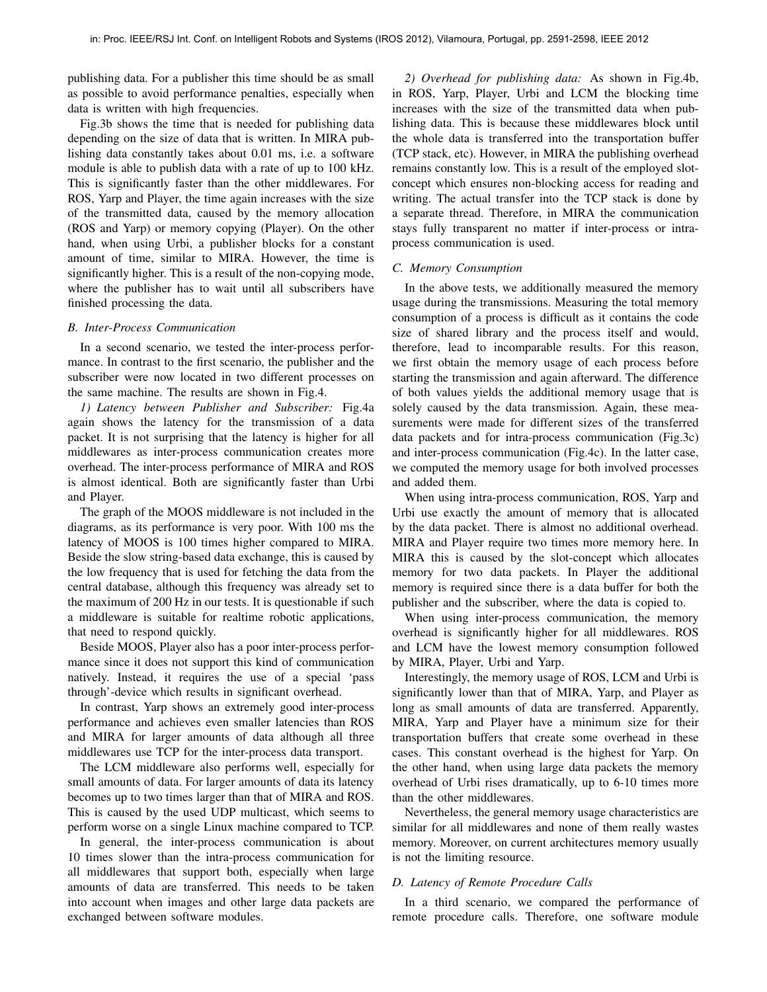publishing data. For a publisher this time should be as small as possible to avoid performance penalties, especially when data is written with high frequencies.

Fig.3b shows the time that is needed for publishing data depending on the size of data that is written. In MIRA publishing data constantly takes about 0.01 ms, i.e. a software module is able to publish data with a rate of up to 100 kHz. This is significantly faster than the other middlewares. For ROS, Yarp and Player, the time again increases with the size of the transmitted data, caused by the memory allocation (ROS and Yarp) or memory copying (Player). On the other hand, when using Urbi, a publisher blocks for a constant amount of time, similar to MIRA. However, the time is significantly higher. This is a result of the non-copying mode, where the publisher has to wait until all subscribers have finished processing the data.

# *B. Inter-Process Communication*

In a second scenario, we tested the inter-process performance. In contrast to the first scenario, the publisher and the subscriber were now located in two different processes on the same machine. The results are shown in Fig.4.

*1) Latency between Publisher and Subscriber:* Fig.4a again shows the latency for the transmission of a data packet. It is not surprising that the latency is higher for all middlewares as inter-process communication creates more overhead. The inter-process performance of MIRA and ROS is almost identical. Both are significantly faster than Urbi and Player.

The graph of the MOOS middleware is not included in the diagrams, as its performance is very poor. With 100 ms the latency of MOOS is 100 times higher compared to MIRA. Beside the slow string-based data exchange, this is caused by the low frequency that is used for fetching the data from the central database, although this frequency was already set to the maximum of 200 Hz in our tests. It is questionable if such a middleware is suitable for realtime robotic applications, that need to respond quickly.

Beside MOOS, Player also has a poor inter-process performance since it does not support this kind of communication natively. Instead, it requires the use of a special 'pass through'-device which results in significant overhead.

In contrast, Yarp shows an extremely good inter-process performance and achieves even smaller latencies than ROS and MIRA for larger amounts of data although all three middlewares use TCP for the inter-process data transport.

The LCM middleware also performs well, especially for small amounts of data. For larger amounts of data its latency becomes up to two times larger than that of MIRA and ROS. This is caused by the used UDP multicast, which seems to perform worse on a single Linux machine compared to TCP.

In general, the inter-process communication is about 10 times slower than the intra-process communication for all middlewares that support both, especially when large amounts of data are transferred. This needs to be taken into account when images and other large data packets are exchanged between software modules.

*2) Overhead for publishing data:* As shown in Fig.4b, in ROS, Yarp, Player, Urbi and LCM the blocking time increases with the size of the transmitted data when publishing data. This is because these middlewares block until the whole data is transferred into the transportation buffer (TCP stack, etc). However, in MIRA the publishing overhead remains constantly low. This is a result of the employed slotconcept which ensures non-blocking access for reading and writing. The actual transfer into the TCP stack is done by a separate thread. Therefore, in MIRA the communication stays fully transparent no matter if inter-process or intraprocess communication is used.

# *C. Memory Consumption*

In the above tests, we additionally measured the memory usage during the transmissions. Measuring the total memory consumption of a process is difficult as it contains the code size of shared library and the process itself and would, therefore, lead to incomparable results. For this reason, we first obtain the memory usage of each process before starting the transmission and again afterward. The difference of both values yields the additional memory usage that is solely caused by the data transmission. Again, these measurements were made for different sizes of the transferred data packets and for intra-process communication (Fig.3c) and inter-process communication (Fig.4c). In the latter case, we computed the memory usage for both involved processes and added them.

When using intra-process communication, ROS, Yarp and Urbi use exactly the amount of memory that is allocated by the data packet. There is almost no additional overhead. MIRA and Player require two times more memory here. In MIRA this is caused by the slot-concept which allocates memory for two data packets. In Player the additional memory is required since there is a data buffer for both the publisher and the subscriber, where the data is copied to.

When using inter-process communication, the memory overhead is significantly higher for all middlewares. ROS and LCM have the lowest memory consumption followed by MIRA, Player, Urbi and Yarp.

Interestingly, the memory usage of ROS, LCM and Urbi is significantly lower than that of MIRA, Yarp, and Player as long as small amounts of data are transferred. Apparently, MIRA, Yarp and Player have a minimum size for their transportation buffers that create some overhead in these cases. This constant overhead is the highest for Yarp. On the other hand, when using large data packets the memory overhead of Urbi rises dramatically, up to 6-10 times more than the other middlewares.

Nevertheless, the general memory usage characteristics are similar for all middlewares and none of them really wastes memory. Moreover, on current architectures memory usually is not the limiting resource.

# *D. Latency of Remote Procedure Calls*

In a third scenario, we compared the performance of remote procedure calls. Therefore, one software module